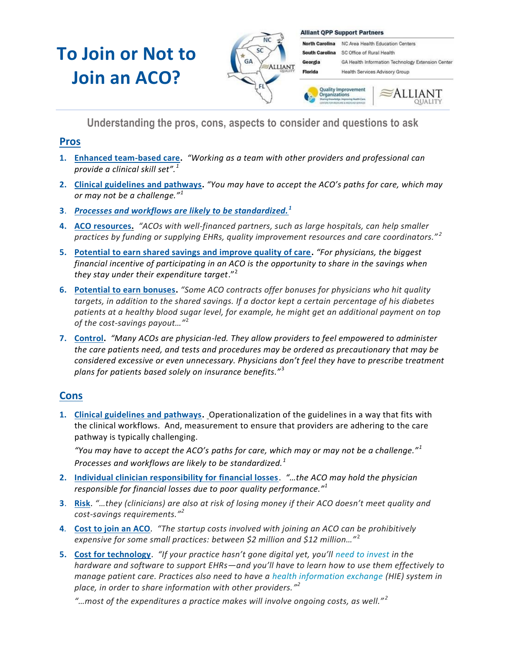# **To Join or Not to Join an ACO?**



**Alliant QPP Support Partners** 

North Carolina NC Area Health Education Centers South Carolina SC Office of Rural Health Georgia GA Health Information Technology Extension Center Florida Health Services Advisory Group



**Understanding the pros, cons, aspects to consider and questions to ask**

### **Pros**

- **1. Enhanced team-based care.** *"Working as a team with other providers and professional can provide a clinical skill set".<sup>1</sup>*
- **2. Clinical guidelines and pathways.** *"You may have to accept the ACO's paths for care, which may or may not be a challenge."<sup>1</sup>*
- **3**. *Processes and workflows are likely to be standardized. <sup>1</sup>*
- **4. ACO resources.** *"ACOs with well-financed partners, such as large hospitals, can help smaller practices by funding or supplying EHRs, quality improvement resources and care coordinators." <sup>2</sup>*
- **5. Potential to earn shared savings and improve quality of care.** *"For physicians, the biggest financial incentive of participating in an ACO is the opportunity to share in the savings when they stay under their expenditure target*."<sup>2</sup>
- **6. Potential to earn bonuses.** *"Some ACO contracts offer bonuses for physicians who hit quality targets, in addition to the shared savings. If a doctor kept a certain percentage of his diabetes patients at a healthy blood sugar level, for example, he might get an additional payment on top of the cost-savings payout…"*<sup>2</sup>
- **7. Control.** *"Many ACOs are physician-led. They allow providers to feel empowered to administer the care patients need, and tests and procedures may be ordered as precautionary that may be considered excessive or even unnecessary. Physicians don't feel they have to prescribe treatment plans for patients based solely on insurance benefits."*<sup>3</sup>

## **Cons**

**1. Clinical guidelines and pathways.** Operationalization of the guidelines in a way that fits with the clinical workflows. And, measurement to ensure that providers are adhering to the care pathway is typically challenging.

*"You may have to accept the ACO's paths for care, which may or may not be a challenge."<sup>1</sup> Processes and workflows are likely to be standardized.<sup>1</sup>*

- **2. Individual clinician responsibility for financial losses**. *"…the ACO may hold the physician responsible for financial losses due to poor quality performance."<sup>1</sup>*
- **3**. **Risk**. *"…they (clinicians) are also at risk of losing money if their ACO doesn't meet quality and cost-savings requirements." 2*
- **4***.* **Cost to join an ACO***. "The startup costs involved with joining an ACO can be prohibitively expensive for some small practices: between \$2 million and \$12 million…"* <sup>2</sup>
- **5. Cost for technology**. *"If your practice hasn't gone digital yet, you'll [need to invest](http://www.physicianspractice.com/aco/top-4-aco-considerations-physicians) in the hardware and software to support EHRs—and you'll have to learn how to use them effectively to manage patient care. Practices also need to have a [health information exchange](http://www.healthit.gov/providers-professionals/health-information-exchange) (HIE) system in place, in order to share information with other providers." 2*

*"…most of the expenditures a practice makes will involve ongoing costs, as well." <sup>2</sup>*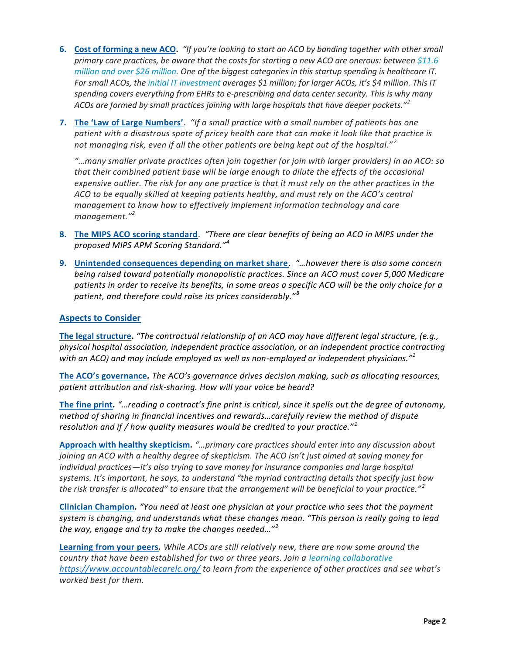- **6. Cost of forming a new ACO.** *"If you're looking to start an ACO by banding together with other small primary care practices, be aware that the costs for starting a new ACO are onerous: between [\\$11.6](http://www.aha.org/presscenter/pressrel/2011/110513-pr-aco.shtml)  [million and over \\$26 million.](http://www.aha.org/presscenter/pressrel/2011/110513-pr-aco.shtml) One of the biggest categories in this startup spending is healthcare IT. For small ACOs, the [initial IT investment](http://www.prweb.com/releases/2012/9/prweb9908320.htm) averages \$1 million; for larger ACOs, it's \$4 million. This IT spending covers everything from EHRs to e-prescribing and data center security. This is why many ACOs are formed by small practices joining with large hospitals that have deeper pockets."<sup>2</sup>*
- **7. The 'Law of Large Numbers'**. *"If a small practice with a small number of patients has one patient with a disastrous spate of pricey health care that can make it look like that practice is not managing risk, even if all the other patients are being kept out of the hospital." <sup>2</sup>*

*"…many smaller private practices often join together (or join with larger providers) in an ACO: so that their combined patient base will be large enough to dilute the effects of the occasional expensive outlier. The risk for any one practice is that it must rely on the other practices in the ACO to be equally skilled at keeping patients healthy, and must rely on the ACO's central management to know how to effectively implement information technology and care management."<sup>2</sup>*

- **8. The MIPS ACO scoring standard**. *"There are clear benefits of being an ACO in MIPS under the proposed MIPS APM Scoring Standard."<sup>4</sup>*
- **9. Unintended consequences depending on market share**. *"…however there is also some concern being raised toward potentially monopolistic practices. Since an ACO must cover 5,000 Medicare patients in order to receive its benefits, in some areas a specific ACO will be the only choice for a patient, and therefore could raise its prices considerably." <sup>8</sup>*

#### **Aspects to Consider**

**The legal structure.** *"The contractual relationship of an ACO may have different legal structure, (e.g., physical hospital association, independent practice association, or an independent practice contracting with an ACO) and may include employed as well as non-employed or independent physicians."<sup>1</sup>*

**The ACO's governance***. The ACO's governance drives decision making, such as allocating resources, patient attribution and risk-sharing. How will your voice be heard?*

**The fine print***. "…reading a contract's fine print is critical, since it spells out the degree of autonomy, method of sharing in financial incentives and rewards…carefully review the method of dispute resolution and if / how quality measures would be credited to your practice." <sup>1</sup>*

**Approach with healthy skepticism***. "…primary care practices should enter into any discussion about joining an ACO with a healthy degree of skepticism. The ACO isn't just aimed at saving money for individual practices—it's also trying to save money for insurance companies and large hospital systems. It's important, he says, to understand "the myriad contracting details that specify just how the risk transfer is allocated" to ensure that the arrangement will be beneficial to your practice." <sup>2</sup>*

**Clinician Champion***. "You need at least one physician at your practice who sees that the payment system is changing, and understands what these changes mean. "This person is really going to lead the way, engage and try to make the changes needed…"<sup>2</sup>*

**Learning from your peers***. While ACOs are still relatively new, there are now some around the country that have been established for two or three years. Join a [learning collaborative](https://www.accountablecarelc.org/) <https://www.accountablecarelc.org/> to learn from the experience of other practices and see what's worked best for them.*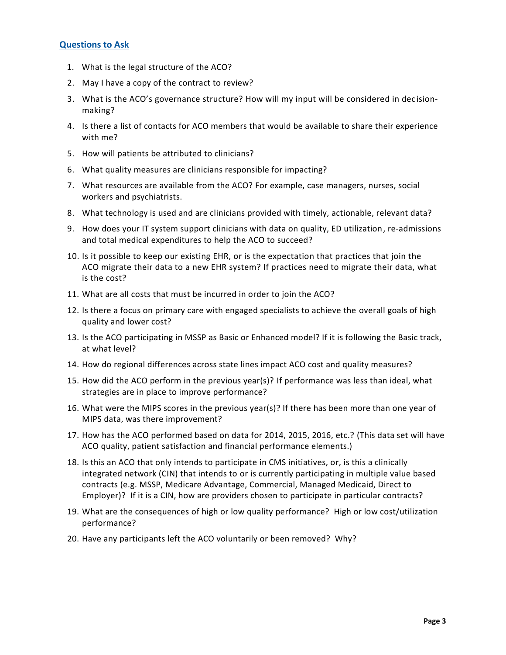#### **Questions to Ask**

- 1. What is the legal structure of the ACO?
- 2. May I have a copy of the contract to review?
- 3. What is the ACO's governance structure? How will my input will be considered in dec isionmaking?
- 4. Is there a list of contacts for ACO members that would be available to share their experience with me?
- 5. How will patients be attributed to clinicians?
- 6. What quality measures are clinicians responsible for impacting?
- 7. What resources are available from the ACO? For example, case managers, nurses, social workers and psychiatrists.
- 8. What technology is used and are clinicians provided with timely, actionable, relevant data?
- 9. How does your IT system support clinicians with data on quality, ED utilization, re-admissions and total medical expenditures to help the ACO to succeed?
- 10. Is it possible to keep our existing EHR, or is the expectation that practices that join the ACO migrate their data to a new EHR system? If practices need to migrate their data, what is the cost?
- 11. What are all costs that must be incurred in order to join the ACO?
- 12. Is there a focus on primary care with engaged specialists to achieve the overall goals of high quality and lower cost?
- 13. Is the ACO participating in MSSP as Basic or Enhanced model? If it is following the Basic track, at what level?
- 14. How do regional differences across state lines impact ACO cost and quality measures?
- 15. How did the ACO perform in the previous year(s)? If performance was less than ideal, what strategies are in place to improve performance?
- 16. What were the MIPS scores in the previous year(s)? If there has been more than one year of MIPS data, was there improvement?
- 17. How has the ACO performed based on data for 2014, 2015, 2016, etc.? (This data set will have ACO quality, patient satisfaction and financial performance elements.)
- 18. Is this an ACO that only intends to participate in CMS initiatives, or, is this a clinically integrated network (CIN) that intends to or is currently participating in multiple value based contracts (e.g. MSSP, Medicare Advantage, Commercial, Managed Medicaid, Direct to Employer)? If it is a CIN, how are providers chosen to participate in particular contracts?
- 19. What are the consequences of high or low quality performance? High or low cost/utilization performance?
- 20. Have any participants left the ACO voluntarily or been removed? Why?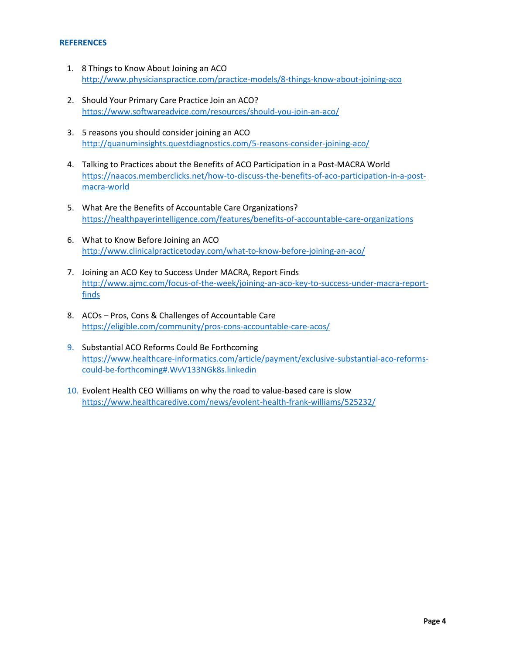#### **REFERENCES**

- 1. 8 Things to Know About Joining an ACO <http://www.physicianspractice.com/practice-models/8-things-know-about-joining-aco>
- 2. Should Your Primary Care Practice Join an ACO? <https://www.softwareadvice.com/resources/should-you-join-an-aco/>
- 3. 5 reasons you should consider joining an ACO <http://quanuminsights.questdiagnostics.com/5-reasons-consider-joining-aco/>
- 4. Talking to Practices about the Benefits of ACO Participation in a Post-MACRA World [https://naacos.memberclicks.net/how-to-discuss-the-benefits-of-aco-participation-in-a-post](https://naacos.memberclicks.net/how-to-discuss-the-benefits-of-aco-participation-in-a-post-macra-world)[macra-world](https://naacos.memberclicks.net/how-to-discuss-the-benefits-of-aco-participation-in-a-post-macra-world)
- 5. What Are the Benefits of Accountable Care Organizations? <https://healthpayerintelligence.com/features/benefits-of-accountable-care-organizations>
- 6. What to Know Before Joining an ACO <http://www.clinicalpracticetoday.com/what-to-know-before-joining-an-aco/>
- 7. Joining an ACO Key to Success Under MACRA, Report Finds [http://www.ajmc.com/focus-of-the-week/joining-an-aco-key-to-success-under-macra-report](http://www.ajmc.com/focus-of-the-week/joining-an-aco-key-to-success-under-macra-report-finds)[finds](http://www.ajmc.com/focus-of-the-week/joining-an-aco-key-to-success-under-macra-report-finds)
- 8. ACOs Pros, Cons & Challenges of Accountable Care <https://eligible.com/community/pros-cons-accountable-care-acos/>
- 9. Substantial ACO Reforms Could Be Forthcoming [https://www.healthcare-informatics.com/article/payment/exclusive-substantial-aco-reforms](https://www.healthcare-informatics.com/article/payment/exclusive-substantial-aco-reforms-could-be-forthcoming#.WvV133NGk8s.linkedin)[could-be-forthcoming#.WvV133NGk8s.linkedin](https://www.healthcare-informatics.com/article/payment/exclusive-substantial-aco-reforms-could-be-forthcoming#.WvV133NGk8s.linkedin)
- 10. Evolent Health CEO Williams on why the road to value-based care is slow <https://www.healthcaredive.com/news/evolent-health-frank-williams/525232/>